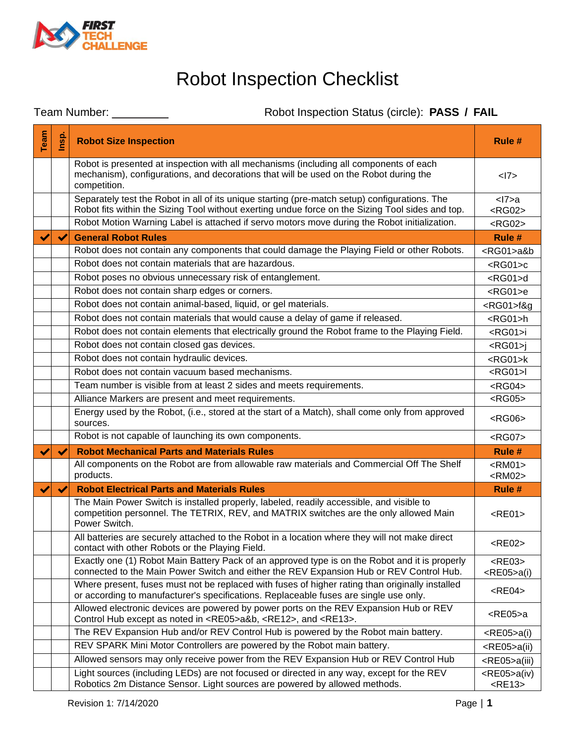

## Robot Inspection Checklist

Team Number: \_\_\_\_\_\_\_\_\_ Robot Inspection Status (circle): **PASS / FAIL**

| Team | Insp.        | <b>Robot Size Inspection</b>                                                                                                                                                                       | Rule #                            |
|------|--------------|----------------------------------------------------------------------------------------------------------------------------------------------------------------------------------------------------|-----------------------------------|
|      |              | Robot is presented at inspection with all mechanisms (including all components of each<br>mechanism), configurations, and decorations that will be used on the Robot during the<br>competition.    | <17>                              |
|      |              | Separately test the Robot in all of its unique starting (pre-match setup) configurations. The<br>Robot fits within the Sizing Tool without exerting undue force on the Sizing Tool sides and top.  | $17>a$<br>$<$ RG02>               |
|      |              | Robot Motion Warning Label is attached if servo motors move during the Robot initialization.                                                                                                       | $<$ RG02 $>$                      |
|      | $\checkmark$ | <b>General Robot Rules</b>                                                                                                                                                                         | Rule #                            |
|      |              | Robot does not contain any components that could damage the Playing Field or other Robots.                                                                                                         | <rg01>a&amp;b</rg01>              |
|      |              | Robot does not contain materials that are hazardous.                                                                                                                                               | $<$ RG01 $>$ c                    |
|      |              | Robot poses no obvious unnecessary risk of entanglement.                                                                                                                                           | $<$ RG01 $>$ d                    |
|      |              | Robot does not contain sharp edges or corners.                                                                                                                                                     | <rg01>e</rg01>                    |
|      |              | Robot does not contain animal-based, liquid, or gel materials.                                                                                                                                     | $<$ RG01>f&g                      |
|      |              | Robot does not contain materials that would cause a delay of game if released.                                                                                                                     | <rg01>h</rg01>                    |
|      |              | Robot does not contain elements that electrically ground the Robot frame to the Playing Field.                                                                                                     | <rg01>i</rg01>                    |
|      |              | Robot does not contain closed gas devices.                                                                                                                                                         | $<$ RG01 $>$ j                    |
|      |              | Robot does not contain hydraulic devices.                                                                                                                                                          | $<$ RG01 $>$ k                    |
|      |              | Robot does not contain vacuum based mechanisms.                                                                                                                                                    | $<$ RG01>l                        |
|      |              | Team number is visible from at least 2 sides and meets requirements.                                                                                                                               | $<$ RG04 $>$                      |
|      |              | Alliance Markers are present and meet requirements.                                                                                                                                                | $<$ RG05 $>$                      |
|      |              | Energy used by the Robot, (i.e., stored at the start of a Match), shall come only from approved<br>sources.                                                                                        | <rg06></rg06>                     |
|      |              | Robot is not capable of launching its own components.                                                                                                                                              | $<$ RG07>                         |
|      | $\checkmark$ | <b>Robot Mechanical Parts and Materials Rules</b>                                                                                                                                                  | Rule #                            |
|      |              | All components on the Robot are from allowable raw materials and Commercial Off The Shelf<br>products.                                                                                             | $<$ RM01 $>$<br>$<$ RM02 $>$      |
|      | $\checkmark$ | <b>Robot Electrical Parts and Materials Rules</b>                                                                                                                                                  | Rule #                            |
|      |              | The Main Power Switch is installed properly, labeled, readily accessible, and visible to<br>competition personnel. The TETRIX, REV, and MATRIX switches are the only allowed Main<br>Power Switch. | $<$ RE01 $>$                      |
|      |              | All batteries are securely attached to the Robot in a location where they will not make direct<br>contact with other Robots or the Playing Field.                                                  | <re02></re02>                     |
|      |              | Exactly one (1) Robot Main Battery Pack of an approved type is on the Robot and it is properly<br>connected to the Main Power Switch and either the REV Expansion Hub or REV Control Hub.          | $<$ RE03 $>$<br><re05>a(i)</re05> |
|      |              | Where present, fuses must not be replaced with fuses of higher rating than originally installed<br>or according to manufacturer's specifications. Replaceable fuses are single use only.           | $<$ RE04 $>$                      |
|      |              | Allowed electronic devices are powered by power ports on the REV Expansion Hub or REV<br>Control Hub except as noted in <re05>a&amp;b, <re12>, and <re13>.</re13></re12></re05>                    | $<$ RE05 $>$ a                    |
|      |              | The REV Expansion Hub and/or REV Control Hub is powered by the Robot main battery.                                                                                                                 | <re05>a(i)</re05>                 |
|      |              | REV SPARK Mini Motor Controllers are powered by the Robot main battery.                                                                                                                            | <re05>a(ii)</re05>                |
|      |              | Allowed sensors may only receive power from the REV Expansion Hub or REV Control Hub                                                                                                               | <re05>a(iii)</re05>               |
|      |              | Light sources (including LEDs) are not focused or directed in any way, except for the REV<br>Robotics 2m Distance Sensor. Light sources are powered by allowed methods.                            | $<$ RE05>a(iv)<br>$<$ RE13 $>$    |